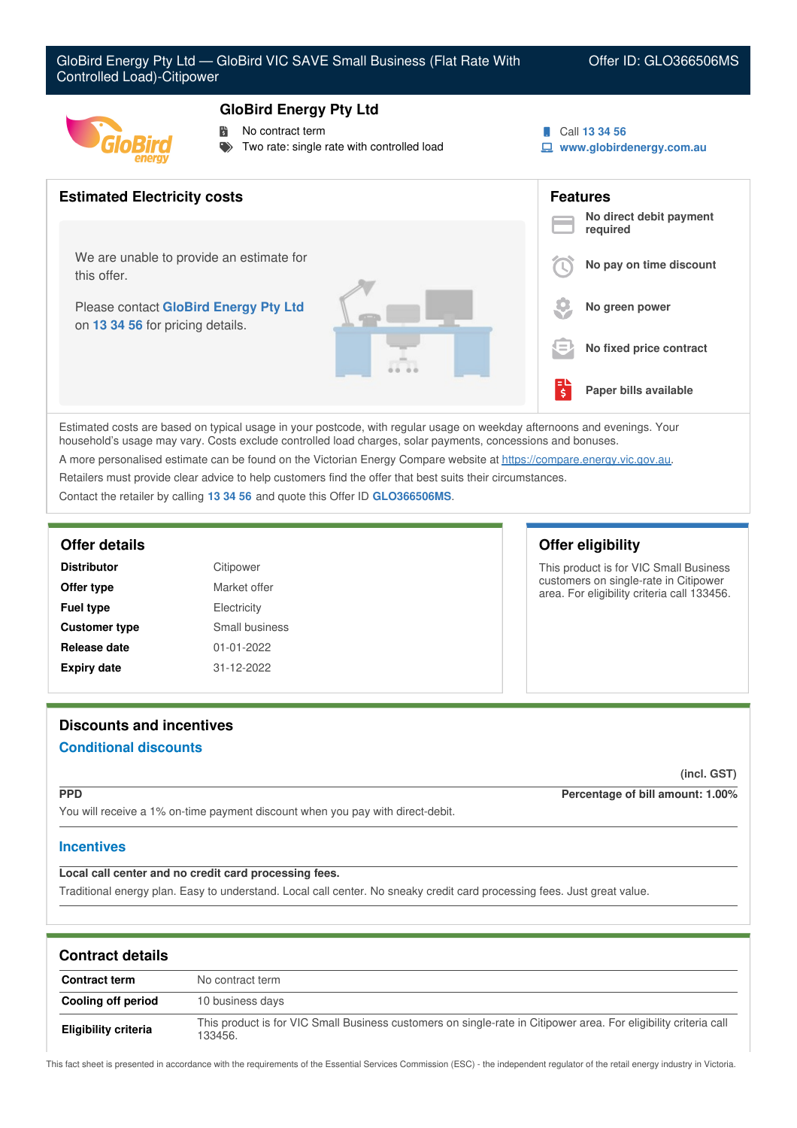# **GloBird Energy Pty Ltd**



- No contract term
- Two rate: single rate with controlled load

Call **13 34 56**

**www.globirdenergy.com.au**



Estimated costs are based on typical usage in your postcode, with regular usage on weekday afternoons and evenings. Your household's usage may vary. Costs exclude controlled load charges, solar payments, concessions and bonuses. A more personalised estimate can be found on the Victorian Energy Compare website at <https://compare.energy.vic.gov.au>.

Retailers must provide clear advice to help customers find the offer that best suits their circumstances.

Contact the retailer by calling **13 34 56** and quote this Offer ID **GLO366506MS**.

| <b>Distributor</b>   | Citipower        |
|----------------------|------------------|
| Offer type           | Market offer     |
| <b>Fuel type</b>     | Electricity      |
| <b>Customer type</b> | Small business   |
| Release date         | $01 - 01 - 2022$ |
| <b>Expiry date</b>   | 31-12-2022       |

# **Offer details Offer eligibility**

This product is for VIC Small Business customers on single-rate in Citipower area. For eligibility criteria call 133456.

# **Discounts and incentives Conditional discounts**

**(incl. GST)**

**PPD Percentage of bill amount: 1.00%**

You will receive a 1% on-time payment discount when you pay with direct-debit.

# **Incentives**

**Local call center and no credit card processing fees.**

Traditional energy plan. Easy to understand. Local call center. No sneaky credit card processing fees. Just great value.

| <b>Contract details</b>     |                                                                                                                             |
|-----------------------------|-----------------------------------------------------------------------------------------------------------------------------|
| <b>Contract term</b>        | No contract term                                                                                                            |
| Cooling off period          | 10 business days                                                                                                            |
| <b>Eligibility criteria</b> | This product is for VIC Small Business customers on single-rate in Citipower area. For eligibility criteria call<br>133456. |

This fact sheet is presented in accordance with the requirements of the Essential Services Commission (ESC) - the independent regulator of the retail energy industry in Victoria.